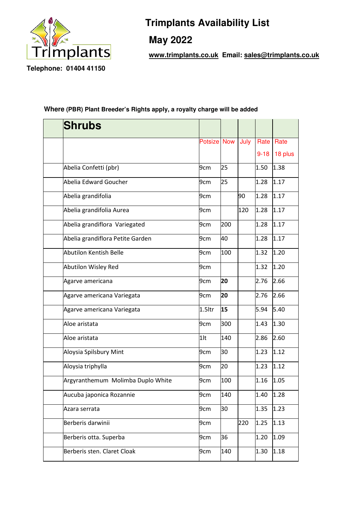

## **Trimplants Availability List**

 **May 2022** 

 **www.trimplants.co.uk Email: sales@trimplants.co.uk**

## **Where (PBR) Plant Breeder's Rights apply, a royalty charge will be added**

| <b>Shrubs</b>                     |                    |     |      |          |         |
|-----------------------------------|--------------------|-----|------|----------|---------|
|                                   | <b>Potsize Now</b> |     | July | Rate     | Rate    |
|                                   |                    |     |      | $9 - 18$ | 18 plus |
| Abelia Confetti (pbr)             | 9cm                | 25  |      | 1.50     | 1.38    |
| Abelia Edward Goucher             | 9cm                | 25  |      | 1.28     | 1.17    |
| Abelia grandifolia                | 9cm                |     | 90   | 1.28     | 1.17    |
|                                   |                    |     |      |          |         |
| Abelia grandifolia Aurea          | 9cm                |     | 120  | 1.28     | 1.17    |
| Abelia grandiflora Variegated     | 9cm                | 200 |      | 1.28     | 1.17    |
| Abelia grandiflora Petite Garden  | 9cm                | 40  |      | 1.28     | 1.17    |
| Abutilon Kentish Belle            | 9 <sub>cm</sub>    | 100 |      | 1.32     | 1.20    |
| Abutilon Wisley Red               | 9cm                |     |      | 1.32     | 1.20    |
| Agarve americana                  | 9cm                | 20  |      | 2.76     | 2.66    |
| Agarve americana Variegata        | 9cm                | 20  |      | 2.76     | 2.66    |
| Agarve americana Variegata        | $1.5$ ltr          | 15  |      | 5.94     | 5.40    |
| Aloe aristata                     | 9cm                | 300 |      | 1.43     | 1.30    |
| Aloe aristata                     | $1$ lt             | 140 |      | 2.86     | 2.60    |
| Aloysia Spilsbury Mint            | 9cm                | 30  |      | 1.23     | 1.12    |
| Aloysia triphylla                 | 9cm                | 20  |      | 1.23     | 1.12    |
| Argyranthemum Molimba Duplo White | 9cm                | 100 |      | 1.16     | 1.05    |
| Aucuba japonica Rozannie          | 9cm                | 140 |      | 1.40     | 1.28    |
| Azara serrata                     | 9cm                | 30  |      | 1.35     | 1.23    |
| Berberis darwinii                 | 9cm                |     | 220  | 1.25     | 1.13    |
| Berberis otta. Superba            | 9cm                | 36  |      | 1.20     | 1.09    |
| Berberis sten. Claret Cloak       | 9cm                | 140 |      | 1.30     | 1.18    |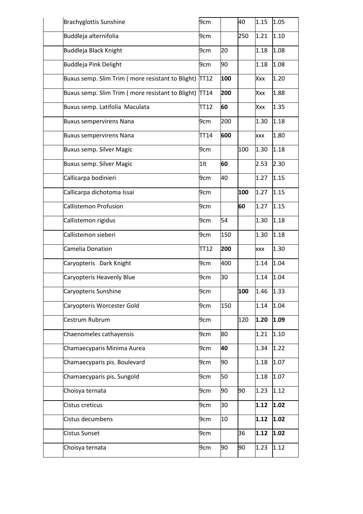| <b>Brachyglottis Sunshine</b>                         | 9cm         |     | 40  | 1.15       | 1.05 |
|-------------------------------------------------------|-------------|-----|-----|------------|------|
| Buddleja alternifolia                                 | 9cm         |     | 250 | 1.21       | 1.10 |
| <b>Buddleja Black Knight</b>                          | 9cm         | 20  |     | 1.18       | 1.08 |
| Buddleja Pink Delight                                 | 9cm         | 90  |     | 1.18       | 1.08 |
| Buxus semp. Slim Trim (more resistant to Blight)      | <b>TT12</b> | 100 |     | Xxx        | 1.20 |
| Buxus semp. Slim Trim (more resistant to Blight) TT14 |             | 200 |     | Xxx        | 1.88 |
| Buxus semp. Latifolia Maculata                        | TT12        | 60  |     | Xxx        | 1.35 |
| <b>Buxus sempervirens Nana</b>                        | 9cm         | 200 |     | 1.30       | 1.18 |
| <b>Buxus sempervirens Nana</b>                        | TT14        | 600 |     | <b>XXX</b> | 1.80 |
| <b>Buxus semp. Silver Magic</b>                       | 9cm         |     | 100 | 1.30       | 1.18 |
| <b>Buxus semp. Silver Magic</b>                       | $1$ lt      | 60  |     | 2.53       | 2.30 |
| Callicarpa bodinieri                                  | 9cm         | 40  |     | 1.27       | 1.15 |
| Callicarpa dichotoma Issai                            | 9cm         |     | 100 | 1.27       | 1.15 |
| Callistemon Profusion                                 | 9cm         |     | 60  | 1.27       | 1.15 |
| Callistemon rigidus                                   | 9cm         | 54  |     | 1.30       | 1.18 |
| Callistemon sieberi                                   | 9cm         | 150 |     | 1.30       | 1.18 |
| Camelia Donation                                      | TT12        | 200 |     | <b>XXX</b> | 1.30 |
| Caryopteris Dark Knight                               | 9cm         | 400 |     | 1.14       | 1.04 |
| Caryopteris Heavenly Blue                             | 9cm         | 30  |     | 1.14       | 1.04 |
| Caryopteris Sunshine                                  | 9cm         |     | 100 | 1.46       | 1.33 |
| Caryopteris Worcester Gold                            | 9cm         | 150 |     | 1.14       | 1.04 |
| Cestrum Rubrum                                        | 9cm         |     | 120 | 1.20       | 1.09 |
| Chaenomeles cathayensis                               | 9cm         | 80  |     | 1.21       | 1.10 |
| Chamaecyparis Minima Aurea                            | 9cm         | 40  |     | 1.34       | 1.22 |
| Chamaecyparis pis. Boulevard                          | 9cm         | 90  |     | 1.18       | 1.07 |
| Chamaecyparis pis. Sungold                            | 9cm         | 50  |     | 1.18       | 1.07 |
| Choisya ternata                                       | 9cm         | 90  | 90  | 1.23       | 1.12 |
| Cistus creticus                                       | 9cm         | 30  |     | 1.12       | 1.02 |
| Cistus decumbens                                      | 9cm         | 10  |     | 1.12       | 1.02 |
| <b>Cistus Sunset</b>                                  | 9cm         |     | 36  | 1.12       | 1.02 |
| Choisya ternata                                       | 9cm         | 90  | 90  | 1.23       | 1.12 |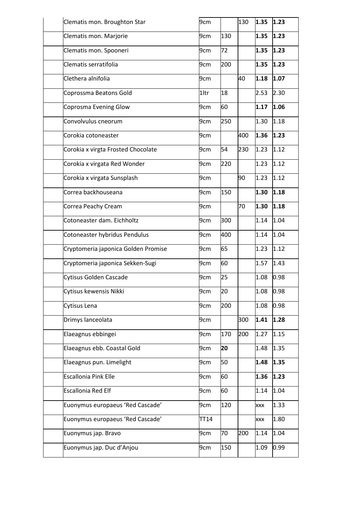| Clematis mon. Broughton Star        | 9cm  |     | 130 | 1.35 | 1.23 |
|-------------------------------------|------|-----|-----|------|------|
| Clematis mon. Marjorie              | 9cm  | 130 |     | 1.35 | 1.23 |
| Clematis mon. Spooneri              | 9cm  | 72  |     | 1.35 | 1.23 |
| Clematis serratifolia               | 9cm  | 200 |     | 1.35 | 1.23 |
| Clethera alnifolia                  | 9cm  |     | 40  | 1.18 | 1.07 |
| Coprossma Beatons Gold              | 1ltr | 18  |     | 2.53 | 2.30 |
| Coprosma Evening Glow               | 9cm  | 60  |     | 1.17 | 1.06 |
| Convolvulus cneorum                 | 9cm  | 250 |     | 1.30 | 1.18 |
| Corokia cotoneaster                 | 9cm  |     | 400 | 1.36 | 1.23 |
| Corokia x virgta Frosted Chocolate  | 9cm  | 54  | 230 | 1.23 | 1.12 |
| Corokia x virgata Red Wonder        | 9cm  | 220 |     | 1.23 | 1.12 |
| Corokia x virgata Sunsplash         | 9cm  |     | 90  | 1.23 | 1.12 |
| Correa backhouseana                 | 9cm  | 150 |     | 1.30 | 1.18 |
| Correa Peachy Cream                 | 9cm  |     | 70  | 1.30 | 1.18 |
| Cotoneaster dam. Eichholtz          | 9cm  | 300 |     | 1.14 | 1.04 |
| Cotoneaster hybridus Pendulus       | 9cm  | 400 |     | 1.14 | 1.04 |
| Cryptomeria japonica Golden Promise | 9cm  | 65  |     | 1.23 | 1.12 |
| Cryptomeria japonica Sekken-Sugi    | 9cm  | 60  |     | 1.57 | 1.43 |
| Cytisus Golden Cascade              | 9cm  | 25  |     | 1.08 | 0.98 |
| Cytisus kewensis Nikki              | 9cm  | 20  |     | 1.08 | 0.98 |
| Cytisus Lena                        | 9cm  | 200 |     | 1.08 | 0.98 |
| Drimys lanceolata                   | 9cm  |     | 300 | 1.41 | 1.28 |
| Elaeagnus ebbingei                  | 9cm  | 170 | 200 | 1.27 | 1.15 |
| Elaeagnus ebb. Coastal Gold         | 9cm  | 20  |     | 1.48 | 1.35 |
| Elaeagnus pun. Limelight            | 9cm  | 50  |     | 1.48 | 1.35 |
| <b>Escallonia Pink Elle</b>         | 9cm  | 60  |     | 1.36 | 1.23 |
| <b>Escallonia Red Elf</b>           | 9cm  | 60  |     | 1.14 | 1.04 |
| Euonymus europaeus 'Red Cascade'    | 9cm  | 120 |     | XXX  | 1.33 |
| Euonymus europaeus 'Red Cascade'    | TT14 |     |     | XXX  | 1.80 |
| Euonymus jap. Bravo                 | 9cm  | 70  | 200 | 1.14 | 1.04 |
| Euonymus jap. Duc d'Anjou           | 9cm  | 150 |     | 1.09 | 0.99 |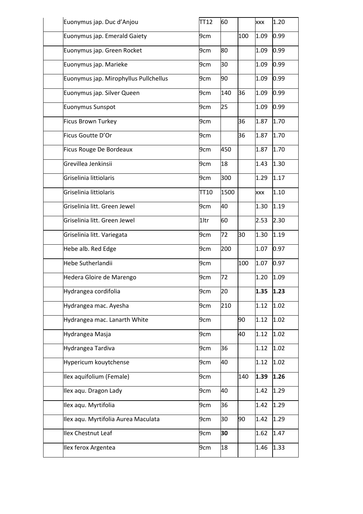| Euonymus jap. Duc d'Anjou             | <b>TT12</b> | 60   |     | xxx        | 1.20 |
|---------------------------------------|-------------|------|-----|------------|------|
| Euonymus jap. Emerald Gaiety          | 9cm         |      | 100 | 1.09       | 0.99 |
| Euonymus jap. Green Rocket            | 9cm         | 80   |     | 1.09       | 0.99 |
| Euonymus jap. Marieke                 | 9cm         | 30   |     | 1.09       | 0.99 |
| Euonymus jap. Mirophyllus Pullchellus | 9cm         | 90   |     | 1.09       | 0.99 |
| Euonymus jap. Silver Queen            | 9cm         | 140  | 36  | 1.09       | 0.99 |
| Euonymus Sunspot                      | 9cm         | 25   |     | 1.09       | 0.99 |
| Ficus Brown Turkey                    | 9cm         |      | 36  | 1.87       | 1.70 |
| Ficus Goutte D'Or                     | 9cm         |      | 36  | 1.87       | 1.70 |
| Ficus Rouge De Bordeaux               | 9cm         | 450  |     | 1.87       | 1.70 |
| Grevillea Jenkinsii                   | 9cm         | 18   |     | 1.43       | 1.30 |
| Griselinia littiolaris                | 9cm         | 300  |     | 1.29       | 1.17 |
| Griselinia littiolaris                | TT10        | 1500 |     | <b>XXX</b> | 1.10 |
| Griselinia litt. Green Jewel          | 9cm         | 40   |     | 1.30       | 1.19 |
| Griselinia litt. Green Jewel          | 1ltr        | 60   |     | 2.53       | 2.30 |
| Griselinia litt. Variegata            | 9cm         | 72   | 30  | 1.30       | 1.19 |
| Hebe alb. Red Edge                    | 9cm         | 200  |     | 1.07       | 0.97 |
| Hebe Sutherlandii                     | 9cm         |      | 100 | 1.07       | 0.97 |
| Hedera Gloire de Marengo              | 9cm         | 72   |     | 1.20       | 1.09 |
| Hydrangea cordifolia                  | 9cm         | 20   |     | 1.35       | 1.23 |
| Hydrangea mac. Ayesha                 | 9cm         | 210  |     | 1.12       | 1.02 |
| Hydrangea mac. Lanarth White          | 9cm         |      | 90  | 1.12       | 1.02 |
| Hydrangea Masja                       | 9cm         |      | 40  | 1.12       | 1.02 |
| Hydrangea Tardiva                     | 9cm         | 36   |     | 1.12       | 1.02 |
| Hypericum kouytchense                 | 9cm         | 40   |     | 1.12       | 1.02 |
| Ilex aquifolium (Female)              | 9cm         |      | 140 | 1.39       | 1.26 |
| Ilex aqu. Dragon Lady                 | 9cm         | 40   |     | 1.42       | 1.29 |
| Ilex aqu. Myrtifolia                  | 9cm         | 36   |     | 1.42       | 1.29 |
| Ilex aqu. Myrtifolia Aurea Maculata   | 9cm         | 30   | 90  | 1.42       | 1.29 |
| <b>Ilex Chestnut Leaf</b>             | 9cm         | 30   |     | 1.62       | 1.47 |
| Ilex ferox Argentea                   | 9cm         | 18   |     | 1.46       | 1.33 |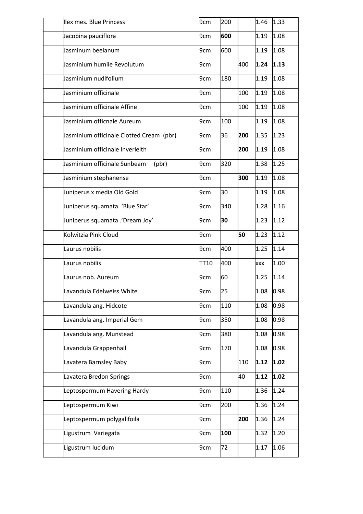| llex mes. Blue Princess                     | 9cm  | 200 |     | 1.46       | 1.33 |
|---------------------------------------------|------|-----|-----|------------|------|
| Jacobina pauciflora                         | 9cm  | 600 |     | 1.19       | 1.08 |
| Jasminum beeianum                           | 9cm  | 600 |     | 1.19       | 1.08 |
| Jasminium humile Revolutum                  | 9cm  |     | 400 | 1.24       | 1.13 |
| Jasminium nudifolium                        | 9cm  | 180 |     | 1.19       | 1.08 |
| Jasminium officinale                        | 9cm  |     | 100 | 1.19       | 1.08 |
| Jasminium officinale Affine                 | 9cm  |     | 100 | 1.19       | 1.08 |
| Jasminium officnale Aureum                  | 9cm  | 100 |     | 1.19       | 1.08 |
| Jasminium officinale Clotted Cream (pbr)    | 9cm  | 36  | 200 | 1.35       | 1.23 |
| Jasminium officinale Inverleith             | 9cm  |     | 200 | 1.19       | 1.08 |
| Jasminium officinale Sunbeam<br>$($ pbr $)$ | 9cm  | 320 |     | 1.38       | 1.25 |
| Jasminium stephanense                       | 9cm  |     | 300 | 1.19       | 1.08 |
| Juniperus x media Old Gold                  | 9cm  | 30  |     | 1.19       | 1.08 |
| Juniperus squamata. 'Blue Star'             | 9cm  | 340 |     | 1.28       | 1.16 |
| Juniperus squamata .'Dream Joy'             | 9cm  | 30  |     | 1.23       | 1.12 |
| Kolwitzia Pink Cloud                        | 9cm  |     | 50  | 1.23       | 1.12 |
| Laurus nobilis                              | 9cm  | 400 |     | 1.25       | 1.14 |
| Laurus nobilis                              | TT10 | 400 |     | <b>XXX</b> | 1.00 |
| Laurus nob. Aureum                          | 9cm  | 60  |     | 1.25       | 1.14 |
| Lavandula Edelweiss White                   | 9cm  | 25  |     | 1.08       | 0.98 |
| Lavandula ang. Hidcote                      | 9cm  | 110 |     | 1.08       | 0.98 |
| Lavandula ang. Imperial Gem                 | 9cm  | 350 |     | 1.08       | 0.98 |
| Lavandula ang. Munstead                     | 9cm  | 380 |     | 1.08       | 0.98 |
| Lavandula Grappenhall                       | 9cm  | 170 |     | 1.08       | 0.98 |
| Lavatera Barnsley Baby                      | 9cm  |     | 110 | 1.12       | 1.02 |
| Lavatera Bredon Springs                     | 9cm  |     | 40  | 1.12       | 1.02 |
| Leptospermum Havering Hardy                 | 9cm  | 110 |     | 1.36       | 1.24 |
| Leptospermum Kiwi                           | 9cm  | 200 |     | 1.36       | 1.24 |
| Leptospermum polygalifoila                  | 9cm  |     | 200 | 1.36       | 1.24 |
| Ligustrum Variegata                         | 9cm  | 100 |     | 1.32       | 1.20 |
| Ligustrum lucidum                           | 9cm  | 72  |     | 1.17       | 1.06 |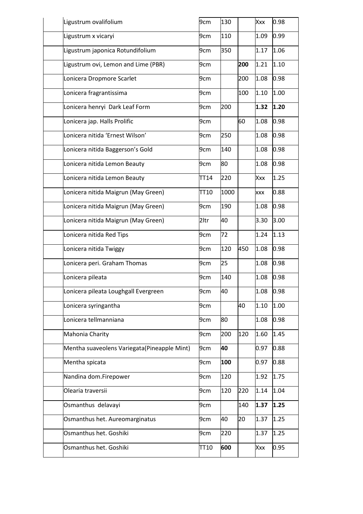| Ligustrum ovalifolium                        | 9cm  | 130  |     | Xxx        | 0.98 |
|----------------------------------------------|------|------|-----|------------|------|
| Ligustrum x vicaryi                          | 9cm  | 110  |     | 1.09       | 0.99 |
| Ligustrum japonica Rotundifolium             | 9cm  | 350  |     | 1.17       | 1.06 |
| Ligustrum ovi, Lemon and Lime (PBR)          | 9cm  |      | 200 | 1.21       | 1.10 |
| Lonicera Dropmore Scarlet                    | 9cm  |      | 200 | 1.08       | 0.98 |
| Lonicera fragrantissima                      | 9cm  |      | 100 | 1.10       | 1.00 |
| Lonicera henryi Dark Leaf Form               | 9cm  | 200  |     | 1.32       | 1.20 |
| Lonicera jap. Halls Prolific                 | 9cm  |      | 60  | 1.08       | 0.98 |
| Lonicera nitida 'Ernest Wilson'              | 9cm  | 250  |     | 1.08       | 0.98 |
| Lonicera nitida Baggerson's Gold             | 9cm  | 140  |     | 1.08       | 0.98 |
| Lonicera nitida Lemon Beauty                 | 9cm  | 80   |     | 1.08       | 0.98 |
| Lonicera nitida Lemon Beauty                 | TT14 | 220  |     | Xxx        | 1.25 |
| Lonicera nitida Maigrun (May Green)          | TT10 | 1000 |     | <b>XXX</b> | 0.88 |
| Lonicera nitida Maigrun (May Green)          | 9cm  | 190  |     | 1.08       | 0.98 |
| Lonicera nitida Maigrun (May Green)          | 2ltr | 40   |     | 3.30       | 3.00 |
| Lonicera nitida Red Tips                     | 9cm  | 72   |     | 1.24       | 1.13 |
| Lonicera nitida Twiggy                       | 9cm  | 120  | 450 | 1.08       | 0.98 |
| Lonicera peri. Graham Thomas                 | 9cm  | 25   |     | 1.08       | 0.98 |
| Lonicera pileata                             | 9cm  | 140  |     | 1.08       | 0.98 |
| Lonicera pileata Loughgall Evergreen         | 9cm  | 40   |     | 1.08       | 0.98 |
| Lonicera syringantha                         | 9cm  |      | 40  | 1.10       | 1.00 |
| Lonicera tellmanniana                        | 9cm  | 80   |     | 1.08       | 0.98 |
| Mahonia Charity                              | 9cm  | 200  | 120 | 1.60       | 1.45 |
| Mentha suaveolens Variegata (Pineapple Mint) | 9cm  | 40   |     | 0.97       | 0.88 |
| Mentha spicata                               | 9cm  | 100  |     | 0.97       | 0.88 |
| Nandina dom.Firepower                        | 9cm  | 120  |     | 1.92       | 1.75 |
| Olearia traversii                            | 9cm  | 120  | 220 | 1.14       | 1.04 |
| Osmanthus delavayi                           | 9cm  |      | 140 | 1.37       | 1.25 |
| Osmanthus het. Aureomarginatus               | 9cm  | 40   | 20  | 1.37       | 1.25 |
| Osmanthus het. Goshiki                       | 9cm  | 220  |     | 1.37       | 1.25 |
| Osmanthus het. Goshiki                       | TT10 | 600  |     | Xxx        | 0.95 |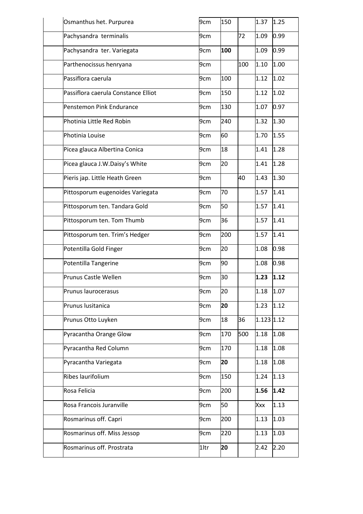| Osmanthus het. Purpurea             | 9cm  | 150 |     | 1.37         | 1.25 |
|-------------------------------------|------|-----|-----|--------------|------|
| Pachysandra terminalis              | 9cm  |     | 72  | 1.09         | 0.99 |
| Pachysandra ter. Variegata          | 9cm  | 100 |     | 1.09         | 0.99 |
| Parthenocissus henryana             | 9cm  |     | 100 | 1.10         | 1.00 |
| Passiflora caerula                  | 9cm  | 100 |     | 1.12         | 1.02 |
| Passiflora caerula Constance Elliot | 9cm  | 150 |     | 1.12         | 1.02 |
| Penstemon Pink Endurance            | 9cm  | 130 |     | 1.07         | 0.97 |
| Photinia Little Red Robin           | 9cm  | 240 |     | 1.32         | 1.30 |
| Photinia Louise                     | 9cm  | 60  |     | 1.70         | 1.55 |
| Picea glauca Albertina Conica       | 9cm  | 18  |     | 1.41         | 1.28 |
| Picea glauca J.W.Daisy's White      | 9cm  | 20  |     | 1.41         | 1.28 |
| Pieris jap. Little Heath Green      | 9cm  |     | 40  | 1.43         | 1.30 |
| Pittosporum eugenoides Variegata    | 9cm  | 70  |     | 1.57         | 1.41 |
| Pittosporum ten. Tandara Gold       | 9cm  | 50  |     | 1.57         | 1.41 |
| Pittosporum ten. Tom Thumb          | 9cm  | 36  |     | 1.57         | 1.41 |
| Pittosporum ten. Trim's Hedger      | 9cm  | 200 |     | 1.57         | 1.41 |
| Potentilla Gold Finger              | 9cm  | 20  |     | 1.08         | 0.98 |
| Potentilla Tangerine                | 9cm  | 90  |     | 1.08         | 0.98 |
| Prunus Castle Wellen                | 9cm  | 30  |     | 1.23         | 1.12 |
| Prunus laurocerasus                 | 9cm  | 20  |     | 1.18         | 1.07 |
| Prunus lusitanica                   | 9cm  | 20  |     | 1.23         | 1.12 |
| Prunus Otto Luyken                  | 9cm  | 18  | 36  | $1.123$ 1.12 |      |
| Pyracantha Orange Glow              | 9cm  | 170 | 500 | 1.18         | 1.08 |
| Pyracantha Red Column               | 9cm  | 170 |     | 1.18         | 1.08 |
| Pyracantha Variegata                | 9cm  | 20  |     | 1.18         | 1.08 |
| Ribes laurifolium                   | 9cm  | 150 |     | 1.24         | 1.13 |
| Rosa Felicia                        | 9cm  | 200 |     | 1.56         | 1.42 |
| Rosa Francois Juranville            | 9cm  | 50  |     | Xxx          | 1.13 |
| Rosmarinus off. Capri               | 9cm  | 200 |     | 1.13         | 1.03 |
| Rosmarinus off. Miss Jessop         | 9cm  | 220 |     | 1.13         | 1.03 |
| Rosmarinus off. Prostrata           | 1ltr | 20  |     | 2.42         | 2.20 |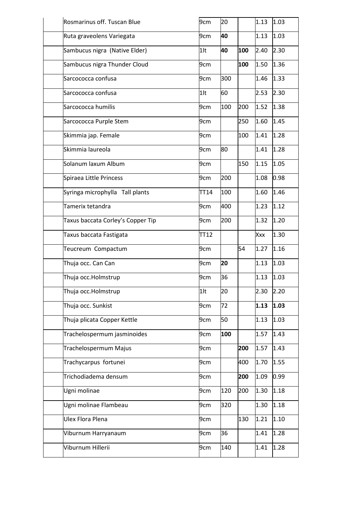| Rosmarinus off. Tuscan Blue       | 9cm    | 20  |     | 1.13 | 1.03 |
|-----------------------------------|--------|-----|-----|------|------|
| Ruta graveolens Variegata         | 9cm    | 40  |     | 1.13 | 1.03 |
| Sambucus nigra (Native Elder)     | $1$ lt | 40  | 100 | 2.40 | 2.30 |
| Sambucus nigra Thunder Cloud      | 9cm    |     | 100 | 1.50 | 1.36 |
| Sarcococca confusa                | 9cm    | 300 |     | 1.46 | 1.33 |
| Sarcococca confusa                | $1$ lt | 60  |     | 2.53 | 2.30 |
| Sarcococca humilis                | 9cm    | 100 | 200 | 1.52 | 1.38 |
| Sarcococca Purple Stem            | 9cm    |     | 250 | 1.60 | 1.45 |
| Skimmia jap. Female               | 9cm    |     | 100 | 1.41 | 1.28 |
| Skimmia laureola                  | 9cm    | 80  |     | 1.41 | 1.28 |
| Solanum laxum Album               | 9cm    |     | 150 | 1.15 | 1.05 |
| Spiraea Little Princess           | 9cm    | 200 |     | 1.08 | 0.98 |
| Syringa microphylla Tall plants   | TT14   | 100 |     | 1.60 | 1.46 |
| Tamerix tetandra                  | 9cm    | 400 |     | 1.23 | 1.12 |
| Taxus baccata Corley's Copper Tip | 9cm    | 200 |     | 1.32 | 1.20 |
| Taxus baccata Fastigata           | TT12   |     |     | Xxx  | 1.30 |
| Teucreum Compactum                | 9cm    |     | 54  | 1.27 | 1.16 |
| Thuja occ. Can Can                | 9cm    | 20  |     | 1.13 | 1.03 |
| Thuja occ.Holmstrup               | 9cm    | 36  |     | 1.13 | 1.03 |
| Thuja occ.Holmstrup               | $1$ lt | 20  |     | 2.30 | 2.20 |
| Thuja occ. Sunkist                | 9cm    | 72  |     | 1.13 | 1.03 |
| Thuja plicata Copper Kettle       | 9cm    | 50  |     | 1.13 | 1.03 |
| Trachelospermum jasminoides       | 9cm    | 100 |     | 1.57 | 1.43 |
| Trachelospermum Majus             | 9cm    |     | 200 | 1.57 | 1.43 |
| Trachycarpus fortunei             | 9cm    |     | 400 | 1.70 | 1.55 |
| Trichodiadema densum              | 9cm    |     | 200 | 1.09 | 0.99 |
| Ugni molinae                      | 9cm    | 120 | 200 | 1.30 | 1.18 |
| Ugni molinae Flambeau             | 9cm    | 320 |     | 1.30 | 1.18 |
| <b>Ulex Flora Plena</b>           | 9cm    |     | 130 | 1.21 | 1.10 |
| Viburnum Harryanaum               | 9cm    | 36  |     | 1.41 | 1.28 |
| Viburnum Hillerii                 | 9cm    | 140 |     | 1.41 | 1.28 |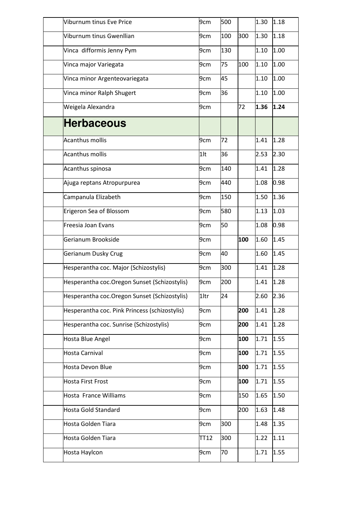| Viburnum tinus Eve Price                      | 9cm    | 500 |     | 1.30 | 1.18 |
|-----------------------------------------------|--------|-----|-----|------|------|
| Viburnum tinus Gwenllian                      | 9cm    | 100 | 300 | 1.30 | 1.18 |
| Vinca difformis Jenny Pym                     | 9cm    | 130 |     | 1.10 | 1.00 |
| Vinca major Variegata                         | 9cm    | 75  | 100 | 1.10 | 1.00 |
| Vinca minor Argenteovariegata                 | 9cm    | 45  |     | 1.10 | 1.00 |
| Vinca minor Ralph Shugert                     | 9cm    | 36  |     | 1.10 | 1.00 |
| Weigela Alexandra                             | 9cm    |     | 72  | 1.36 | 1.24 |
| <b>Herbaceous</b>                             |        |     |     |      |      |
| <b>Acanthus mollis</b>                        | 9cm    | 72  |     | 1.41 | 1.28 |
| <b>Acanthus mollis</b>                        | $1$ lt | 36  |     | 2.53 | 2.30 |
| Acanthus spinosa                              | 9cm    | 140 |     | 1.41 | 1.28 |
| Ajuga reptans Atropurpurea                    | 9cm    | 440 |     | 1.08 | 0.98 |
| Campanula Elizabeth                           | 9cm    | 150 |     | 1.50 | 1.36 |
| Erigeron Sea of Blossom                       | 9cm    | 580 |     | 1.13 | 1.03 |
| Freesia Joan Evans                            | 9cm    | 50  |     | 1.08 | 0.98 |
| Gerianum Brookside                            | 9cm    |     | 100 | 1.60 | 1.45 |
| Gerianum Dusky Crug                           | 9cm    | 40  |     | 1.60 | 1.45 |
| Hesperantha coc. Major (Schizostylis)         | 9cm    | 300 |     | 1.41 | 1.28 |
| Hesperantha coc. Oregon Sunset (Schizostylis) | 9cm    | 200 |     | 1.41 | 1.28 |
| Hesperantha coc. Oregon Sunset (Schizostylis) | 1ltr   | 24  |     | 2.60 | 2.36 |
| Hesperantha coc. Pink Princess (schizostylis) | 9cm    |     | 200 | 1.41 | 1.28 |
| Hesperantha coc. Sunrise (Schizostylis)       | 9cm    |     | 200 | 1.41 | 1.28 |
| Hosta Blue Angel                              | 9cm    |     | 100 | 1.71 | 1.55 |
| Hosta Carnival                                | 9cm    |     | 100 | 1.71 | 1.55 |
| Hosta Devon Blue                              | 9cm    |     | 100 | 1.71 | 1.55 |
| <b>Hosta First Frost</b>                      | 9cm    |     | 100 | 1.71 | 1.55 |
| Hosta France Williams                         | 9cm    |     | 150 | 1.65 | 1.50 |
| <b>Hosta Gold Standard</b>                    | 9cm    |     | 200 | 1.63 | 1.48 |
| Hosta Golden Tiara                            | 9cm    | 300 |     | 1.48 | 1.35 |
| <b>Hosta Golden Tiara</b>                     | TT12   | 300 |     | 1.22 | 1.11 |
| Hosta Haylcon                                 | 9cm    | 70  |     | 1.71 | 1.55 |
|                                               |        |     |     |      |      |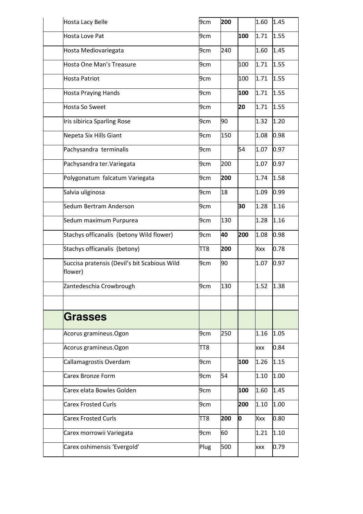| Hosta Lacy Belle                                        | 9cm  | 200 |     | 1.60       | 1.45 |
|---------------------------------------------------------|------|-----|-----|------------|------|
| Hosta Love Pat                                          | 9cm  |     | 100 | 1.71       | 1.55 |
| Hosta Mediovariegata                                    | 9cm  | 240 |     | 1.60       | 1.45 |
| Hosta One Man's Treasure                                | 9cm  |     | 100 | 1.71       | 1.55 |
| <b>Hosta Patriot</b>                                    | 9cm  |     | 100 | 1.71       | 1.55 |
| <b>Hosta Praying Hands</b>                              | 9cm  |     | 100 | 1.71       | 1.55 |
| <b>Hosta So Sweet</b>                                   | 9cm  |     | 20  | 1.71       | 1.55 |
| Iris sibirica Sparling Rose                             | 9cm  | 90  |     | 1.32       | 1.20 |
| Nepeta Six Hills Giant                                  | 9cm  | 150 |     | 1.08       | 0.98 |
| Pachysandra terminalis                                  | 9cm  |     | 54  | 1.07       | 0.97 |
| Pachysandra ter. Variegata                              | 9cm  | 200 |     | 1.07       | 0.97 |
| Polygonatum falcatum Variegata                          | 9cm  | 200 |     | 1.74       | 1.58 |
| Salvia uliginosa                                        | 9cm  | 18  |     | 1.09       | 0.99 |
| Sedum Bertram Anderson                                  | 9cm  |     | 30  | 1.28       | 1.16 |
| Sedum maximum Purpurea                                  | 9cm  | 130 |     | 1.28       | 1.16 |
| Stachys officanalis (betony Wild flower)                | 9cm  | 40  | 200 | 1.08       | 0.98 |
| Stachys officanalis (betony)                            | TT8  | 200 |     | Xxx        | 0.78 |
| Succisa pratensis (Devil's bit Scabious Wild<br>flower) | 9cm  | 90  |     | 1.07       | 0.97 |
| Zantedeschia Crowbrough                                 | 9cm  | 130 |     | 1.52       | 1.38 |
|                                                         |      |     |     |            |      |
| Grasses                                                 |      |     |     |            |      |
| Acorus gramineus.Ogon                                   | 9cm  | 250 |     | 1.16       | 1.05 |
| Acorus gramineus.Ogon                                   | TT8  |     |     | <b>XXX</b> | 0.84 |
| Callamagrostis Overdam                                  | 9cm  |     | 100 | 1.26       | 1.15 |
| <b>Carex Bronze Form</b>                                | 9cm  | 54  |     | 1.10       | 1.00 |
| Carex elata Bowles Golden                               | 9cm  |     | 100 | 1.60       | 1.45 |
| <b>Carex Frosted Curls</b>                              | 9cm  |     | 200 | 1.10       | 1.00 |
| <b>Carex Frosted Curls</b>                              | TT8  | 200 | O   | Xxx        | 0.80 |
| Carex morrowii Variegata                                | 9cm  | 60  |     | 1.21       | 1.10 |
| Carex oshimensis 'Evergold'                             | Plug | 500 |     | <b>XXX</b> | 0.79 |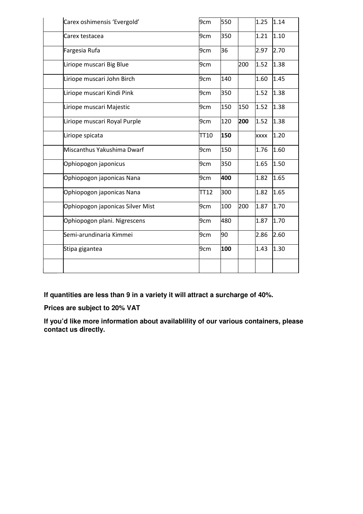| Carex oshimensis 'Evergold'      | 9cm  | 550 |     | 1.25 | 1.14 |
|----------------------------------|------|-----|-----|------|------|
| Carex testacea                   | 9cm  | 350 |     | 1.21 | 1.10 |
| Fargesia Rufa                    | 9cm  | 36  |     | 2.97 | 2.70 |
| Liriope muscari Big Blue         | 9cm  |     | 200 | 1.52 | 1.38 |
| Liriope muscari John Birch       | 9cm  | 140 |     | 1.60 | 1.45 |
| Liriope muscari Kindi Pink       | 9cm  | 350 |     | 1.52 | 1.38 |
| Liriope muscari Majestic         | 9cm  | 150 | 150 | 1.52 | 1.38 |
| Liriope muscari Royal Purple     | 9cm  | 120 | 200 | 1.52 | 1.38 |
| Liriope spicata                  | TT10 | 150 |     | xxxx | 1.20 |
| Miscanthus Yakushima Dwarf       | 9cm  | 150 |     | 1.76 | 1.60 |
| Ophiopogon japonicus             | 9cm  | 350 |     | 1.65 | 1.50 |
| Ophiopogon japonicas Nana        | 9cm  | 400 |     | 1.82 | 1.65 |
| Ophiopogon japonicas Nana        | TT12 | 300 |     | 1.82 | 1.65 |
| Ophiopogon japonicas Silver Mist | 9cm  | 100 | 200 | 1.87 | 1.70 |
| Ophiopogon plani. Nigrescens     | 9cm  | 480 |     | 1.87 | 1.70 |
| Semi-arundinaria Kimmei          | 9cm  | 90  |     | 2.86 | 2.60 |
| Stipa gigantea                   | 9cm  | 100 |     | 1.43 | 1.30 |
|                                  |      |     |     |      |      |

**If quantities are less than 9 in a variety it will attract a surcharge of 40%.** 

**Prices are subject to 20% VAT** 

**If you'd like more information about availablility of our various containers, please contact us directly.**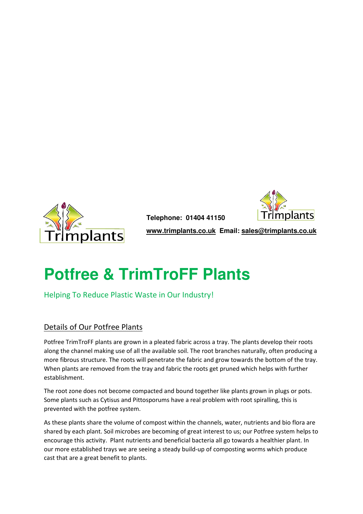

 **Telephone: 01404 41150** 



 **www.trimplants.co.uk Email: sales@trimplants.co.uk** 

## **Potfree & TrimTroFF Plants**

Helping To Reduce Plastic Waste in Our Industry!

## Details of Our Potfree Plants

Potfree TrimTroFF plants are grown in a pleated fabric across a tray. The plants develop their roots along the channel making use of all the available soil. The root branches naturally, often producing a more fibrous structure. The roots will penetrate the fabric and grow towards the bottom of the tray. When plants are removed from the tray and fabric the roots get pruned which helps with further establishment.

The root zone does not become compacted and bound together like plants grown in plugs or pots. Some plants such as Cytisus and Pittosporums have a real problem with root spiralling, this is prevented with the potfree system.

As these plants share the volume of compost within the channels, water, nutrients and bio flora are shared by each plant. Soil microbes are becoming of great interest to us; our Potfree system helps to encourage this activity. Plant nutrients and beneficial bacteria all go towards a healthier plant. In our more established trays we are seeing a steady build-up of composting worms which produce cast that are a great benefit to plants.